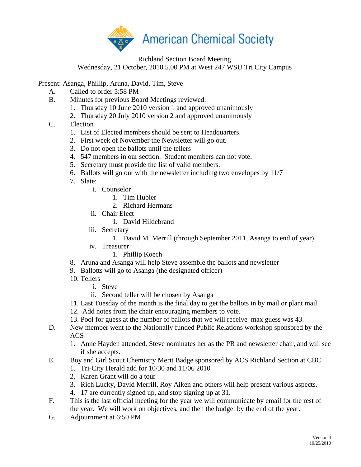

Richland Section Board Meeting Wednesday, 21 October, 2010 5.00 PM at West 247 WSU Tri City Campus

Present: Asanga, Phillip, Aruna, David, Tim, Steve

- A. Called to order 5:58 PM
- B. Minutes for previous Board Meetings reviewed:
	- 1. Thursday 10 June 2010 version 1 and approved unanimously
	- 2. Thursday 20 July 2010 version 2 and approved unanimously
- C. Election
	- 1. List of Elected members should be sent to Headquarters.
	- 2. First week of November the Newsletter will go out.
	- 3. Do not open the ballots until the tellers
	- 4. 547 members in our section. Student members can not vote.
	- 5. Secretary must provide the list of valid members.
	- 6. Ballots will go out with the newsletter including two envelopes by 11/7
	- 7. Slate:
		- i. Counselor
			- 1. Tim Hubler
			- 2. Richard Hermans
		- ii. Chair Elect
			- 1. David Hildebrand
		- iii. Secretary
			- 1. David M. Merrill (through September 2011, Asanga to end of year)
		- iv. Treasurer
			- 1. Phillip Koech
	- 8. Aruna and Asanga will help Steve assemble the ballots and newsletter
	- 9. Ballotts will go to Asanga (the designated officer)
	- 10. Tellers
		- i. Steve
		- ii. Second teller will be chosen by Asanga
	- 11. Last Tuesday of the month is the final day to get the ballots in by mail or plant mail.
	- 12. Add notes from the chair encouraging members to vote.
	- 13. Pool for guess at the number of ballots that we will receive max guess was 43.
- D. New member went to the Nationally funded Public Relations workshop sponsored by the ACS
	- 1. Anne Hayden attended. Steve nominates her as the PR and newsletter chair, and will see if she accepts.
- E. Boy and Girl Scout Chemistry Merit Badge sponsored by ACS Richland Section at CBC
	- 1. Tri-City Herald add for 10/30 and 11/06 2010
	- 2. Karen Grant will do a tour
	- 3. Rich Lucky, David Merrill, Roy Aiken and others will help present various aspects.
	- 4. 17 are currently signed up, and stop signing up at 31.
- F. This is the last official meeting for the year we will communicate by email for the rest of the year. We will work on objectives, and then the budget by the end of the year.
- G. Adjournment at 6:50 PM